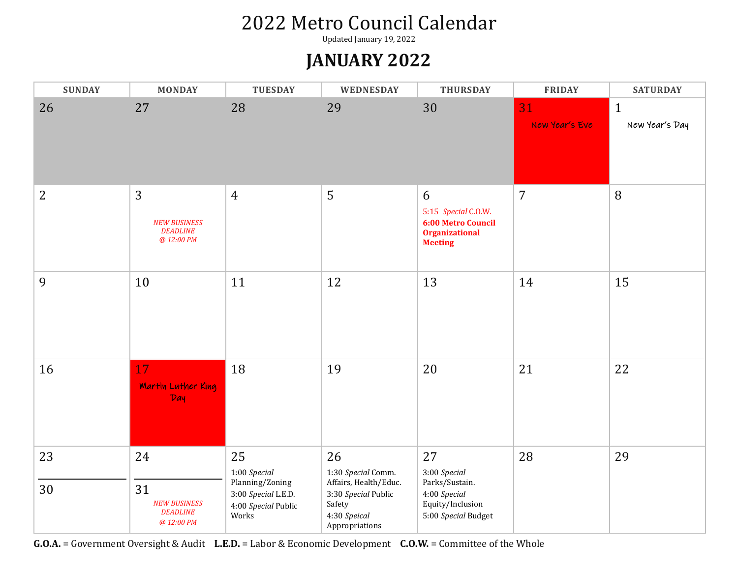Updated January 19, 2022

#### **JANUARY 2022**

| <b>SUNDAY</b>  | <b>MONDAY</b>                                                    | <b>TUESDAY</b>                                                                               | WEDNESDAY                                                                                                            | <b>THURSDAY</b>                                                                                  | <b>FRIDAY</b>        | <b>SATURDAY</b>                |
|----------------|------------------------------------------------------------------|----------------------------------------------------------------------------------------------|----------------------------------------------------------------------------------------------------------------------|--------------------------------------------------------------------------------------------------|----------------------|--------------------------------|
| 26             | 27                                                               | 28                                                                                           | 29                                                                                                                   | 30                                                                                               | 31<br>New Year's Eve | $\mathbf{1}$<br>New Year's Day |
| $\overline{2}$ | 3<br><b>NEW BUSINESS</b><br><b>DEADLINE</b><br>@ 12:00 PM        | $\overline{4}$                                                                               | 5                                                                                                                    | 6<br>5:15 Special C.O.W.<br><b>6:00 Metro Council</b><br><b>Organizational</b><br><b>Meeting</b> | $\overline{7}$       | 8                              |
| 9              | 10                                                               | 11                                                                                           | 12                                                                                                                   | 13                                                                                               | 14                   | 15                             |
| 16             | 17<br><b>Martin Luther King</b><br>Day                           | 18                                                                                           | 19                                                                                                                   | 20                                                                                               | 21                   | 22                             |
| 23<br>30       | 24<br>31<br><b>NEW BUSINESS</b><br><b>DEADLINE</b><br>@ 12:00 PM | 25<br>1:00 Special<br>Planning/Zoning<br>3:00 Special L.E.D.<br>4:00 Special Public<br>Works | 26<br>1:30 Special Comm.<br>Affairs, Health/Educ.<br>3:30 Special Public<br>Safety<br>4:30 Speical<br>Appropriations | 27<br>3:00 Special<br>Parks/Sustain.<br>4:00 Special<br>Equity/Inclusion<br>5:00 Special Budget  | 28                   | 29                             |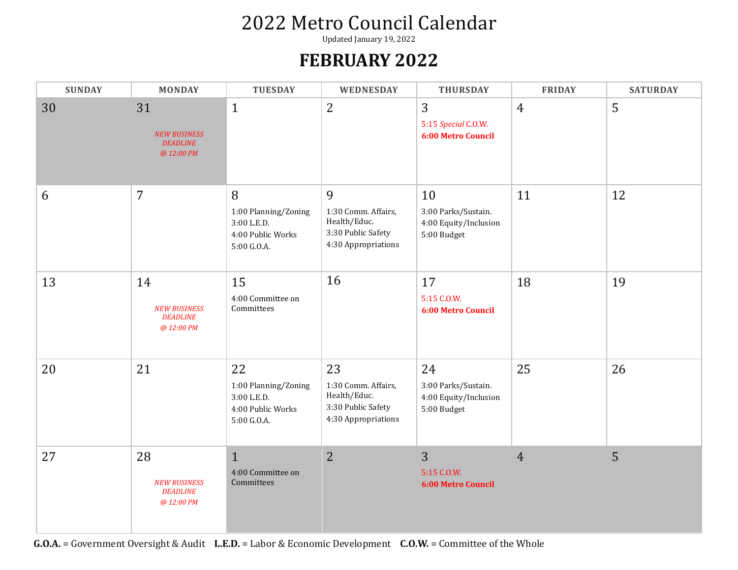Updated January 19, 2022

#### **FEBRUARY 2022**

| <b>SUNDAY</b> | <b>MONDAY</b>                                              | <b>TUESDAY</b>                                                                | WEDNESDAY                                                                              | <b>THURSDAY</b>                                                   | <b>FRIDAY</b>  | <b>SATURDAY</b> |
|---------------|------------------------------------------------------------|-------------------------------------------------------------------------------|----------------------------------------------------------------------------------------|-------------------------------------------------------------------|----------------|-----------------|
| 30            | 31<br><b>NEW BUSINESS</b><br><b>DEADLINE</b><br>@ 12:00 PM | $\mathbf{1}$                                                                  | $\overline{2}$                                                                         | 3<br>5:15 Special C.O.W.<br><b>6:00 Metro Council</b>             | $\overline{4}$ | 5               |
| 6             | $\overline{7}$                                             | 8<br>1:00 Planning/Zoning<br>3:00 L.E.D.<br>4:00 Public Works<br>5:00 G.O.A.  | 9<br>1:30 Comm. Affairs,<br>Health/Educ.<br>3:30 Public Safety<br>4:30 Appropriations  | 10<br>3:00 Parks/Sustain.<br>4:00 Equity/Inclusion<br>5:00 Budget | 11             | 12              |
| 13            | 14<br><b>NEW BUSINESS</b><br><b>DEADLINE</b><br>@ 12:00 PM | 15<br>4:00 Committee on<br>Committees                                         | 16                                                                                     | 17<br>5:15 C.O.W.<br><b>6:00 Metro Council</b>                    | 18             | 19              |
| 20            | 21                                                         | 22<br>1:00 Planning/Zoning<br>3:00 L.E.D.<br>4:00 Public Works<br>5:00 G.O.A. | 23<br>1:30 Comm. Affairs,<br>Health/Educ.<br>3:30 Public Safety<br>4:30 Appropriations | 24<br>3:00 Parks/Sustain.<br>4:00 Equity/Inclusion<br>5:00 Budget | 25             | 26              |
| 27            | 28<br><b>NEW BUSINESS</b><br><b>DEADLINE</b><br>@ 12:00 PM | $\mathbf{1}$<br>4:00 Committee on<br>Committees                               | $\overline{2}$                                                                         | 3<br>5:15 C.O.W.<br><b>6:00 Metro Council</b>                     | $\overline{4}$ | 5               |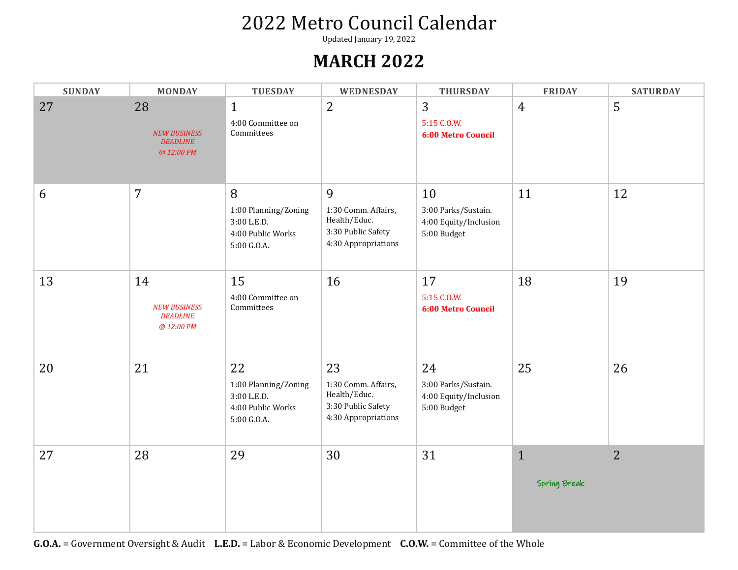Updated January 19, 2022

#### **MARCH 2022**

| <b>SUNDAY</b> | <b>MONDAY</b>                                              | <b>TUESDAY</b>                                                                | WEDNESDAY                                                                              | <b>THURSDAY</b>                                                   | <b>FRIDAY</b>                | <b>SATURDAY</b> |
|---------------|------------------------------------------------------------|-------------------------------------------------------------------------------|----------------------------------------------------------------------------------------|-------------------------------------------------------------------|------------------------------|-----------------|
| 27            | 28<br><b>NEW BUSINESS</b><br><b>DEADLINE</b><br>@ 12:00 PM | $\mathbf{1}$<br>4:00 Committee on<br>Committees                               | $\overline{2}$                                                                         | $\overline{3}$<br>5:15 C.O.W.<br>6:00 Metro Council               | $\overline{4}$               | 5               |
| 6             | $\overline{7}$                                             | 8<br>1:00 Planning/Zoning<br>3:00 L.E.D.<br>4:00 Public Works<br>5:00 G.O.A.  | 9<br>1:30 Comm. Affairs,<br>Health/Educ.<br>3:30 Public Safety<br>4:30 Appropriations  | 10<br>3:00 Parks/Sustain.<br>4:00 Equity/Inclusion<br>5:00 Budget | 11                           | 12              |
| 13            | 14<br><b>NEW BUSINESS</b><br><b>DEADLINE</b><br>@ 12:00 PM | 15<br>4:00 Committee on<br>Committees                                         | 16                                                                                     | 17<br>5:15 C.O.W.<br><b>6:00 Metro Council</b>                    | 18                           | 19              |
| 20            | 21                                                         | 22<br>1:00 Planning/Zoning<br>3:00 L.E.D.<br>4:00 Public Works<br>5:00 G.O.A. | 23<br>1:30 Comm. Affairs,<br>Health/Educ.<br>3:30 Public Safety<br>4:30 Appropriations | 24<br>3:00 Parks/Sustain.<br>4:00 Equity/Inclusion<br>5:00 Budget | 25                           | 26              |
| 27            | 28                                                         | 29                                                                            | 30                                                                                     | 31                                                                | $\mathbf{1}$<br>Spring Break | $\overline{2}$  |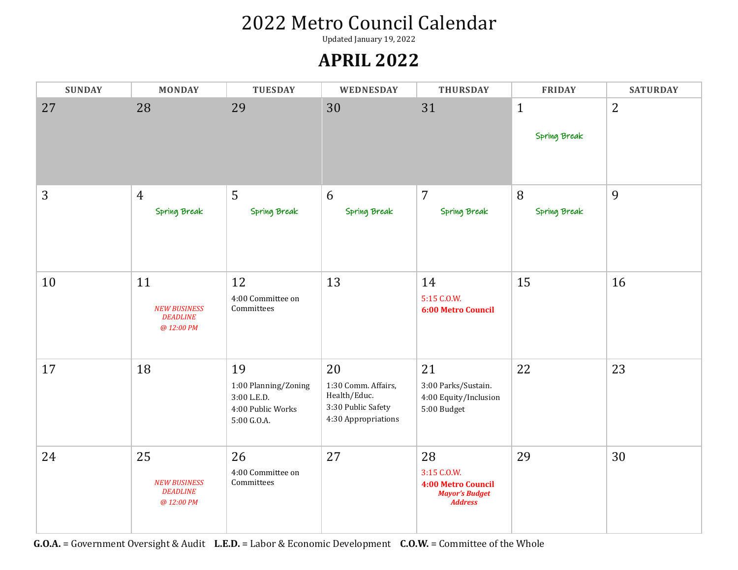Updated January 19, 2022

#### **APRIL 2022**

| <b>SUNDAY</b> | <b>MONDAY</b>                                              | <b>TUESDAY</b>                                                                | WEDNESDAY                                                                              | <b>THURSDAY</b>                                                                    | <b>FRIDAY</b>                | <b>SATURDAY</b> |
|---------------|------------------------------------------------------------|-------------------------------------------------------------------------------|----------------------------------------------------------------------------------------|------------------------------------------------------------------------------------|------------------------------|-----------------|
| 27            | 28                                                         | 29                                                                            | 30                                                                                     | 31                                                                                 | $\mathbf{1}$<br>Spring Break | $\overline{2}$  |
| 3             | $\overline{4}$<br>Spring Break                             | 5<br>Spring Break                                                             | 6<br>Spring Break                                                                      | $\overline{7}$<br>Spring Break                                                     | 8<br>Spring Break            | 9               |
| 10            | 11<br><b>NEW BUSINESS</b><br><b>DEADLINE</b><br>@ 12:00 PM | 12<br>4:00 Committee on<br>Committees                                         | 13                                                                                     | 14<br>5:15 C.O.W.<br><b>6:00 Metro Council</b>                                     | 15                           | 16              |
| 17            | 18                                                         | 19<br>1:00 Planning/Zoning<br>3:00 L.E.D.<br>4:00 Public Works<br>5:00 G.O.A. | 20<br>1:30 Comm. Affairs,<br>Health/Educ.<br>3:30 Public Safety<br>4:30 Appropriations | 21<br>3:00 Parks/Sustain.<br>4:00 Equity/Inclusion<br>5:00 Budget                  | 22                           | 23              |
| 24            | 25<br><b>NEW BUSINESS</b><br><b>DEADLINE</b><br>@ 12:00 PM | 26<br>4:00 Committee on<br>Committees                                         | 27                                                                                     | 28<br>3:15 C.O.W.<br>4:00 Metro Council<br><b>Mayor's Budget</b><br><b>Address</b> | 29                           | 30              |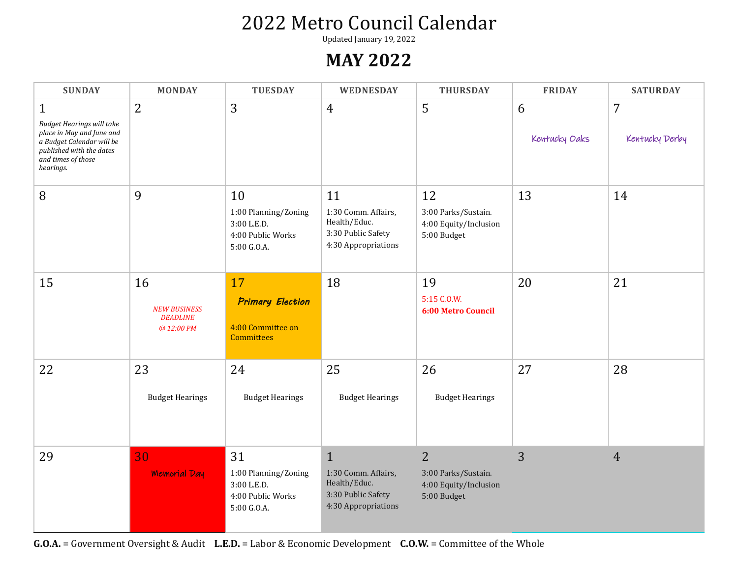Updated January 19, 2022

#### **MAY 2022**

| <b>SUNDAY</b>                                                                                                                                                             | <b>MONDAY</b>                                              | <b>TUESDAY</b>                                                                | WEDNESDAY                                                                                        | <b>THURSDAY</b>                                                               | <b>FRIDAY</b>      | <b>SATURDAY</b>     |
|---------------------------------------------------------------------------------------------------------------------------------------------------------------------------|------------------------------------------------------------|-------------------------------------------------------------------------------|--------------------------------------------------------------------------------------------------|-------------------------------------------------------------------------------|--------------------|---------------------|
| $\mathbf{1}$<br><b>Budget Hearings will take</b><br>place in May and June and<br>a Budget Calendar will be<br>published with the dates<br>and times of those<br>hearings. | 2                                                          | 3                                                                             | $\overline{4}$                                                                                   | 5                                                                             | 6<br>Kentucky Oaks | 7<br>Kentucky Derby |
| 8                                                                                                                                                                         | 9                                                          | 10<br>1:00 Planning/Zoning<br>3:00 L.E.D.<br>4:00 Public Works<br>5:00 G.O.A. | 11<br>1:30 Comm. Affairs,<br>Health/Educ.<br>3:30 Public Safety<br>4:30 Appropriations           | 12<br>3:00 Parks/Sustain.<br>4:00 Equity/Inclusion<br>5:00 Budget             | 13                 | 14                  |
| 15                                                                                                                                                                        | 16<br><b>NEW BUSINESS</b><br><b>DEADLINE</b><br>@ 12:00 PM | 17<br><b>Primary Election</b><br>4:00 Committee on<br><b>Committees</b>       | 18                                                                                               | 19<br>5:15 C.O.W.<br><b>6:00 Metro Council</b>                                | 20                 | 21                  |
| 22                                                                                                                                                                        | 23<br><b>Budget Hearings</b>                               | 24<br><b>Budget Hearings</b>                                                  | 25<br><b>Budget Hearings</b>                                                                     | 26<br><b>Budget Hearings</b>                                                  | 27                 | 28                  |
| 29                                                                                                                                                                        | 30<br><b>Memorial Day</b>                                  | 31<br>1:00 Planning/Zoning<br>3:00 L.E.D.<br>4:00 Public Works<br>5:00 G.O.A. | $\mathbf{1}$<br>1:30 Comm. Affairs,<br>Health/Educ.<br>3:30 Public Safety<br>4:30 Appropriations | $\overline{2}$<br>3:00 Parks/Sustain.<br>4:00 Equity/Inclusion<br>5:00 Budget | 3                  | $\overline{4}$      |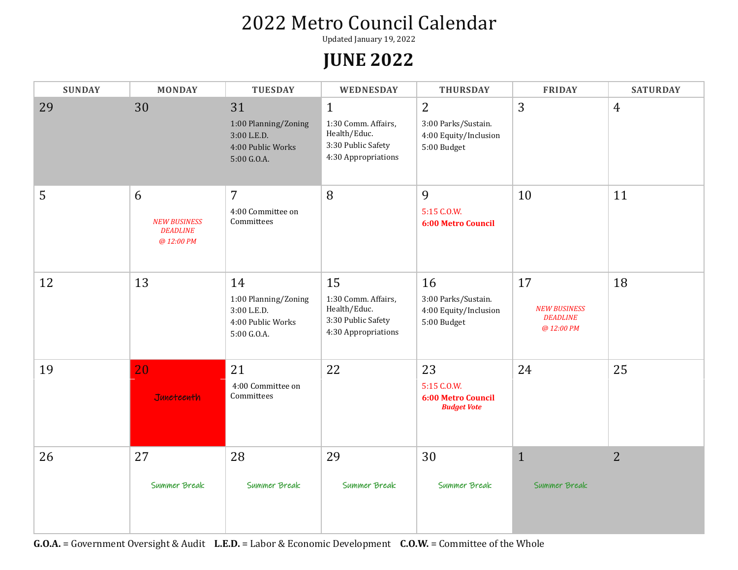Updated January 19, 2022

#### **JUNE 2022**

| <b>SUNDAY</b> | <b>MONDAY</b>                                             | <b>TUESDAY</b>                                                                | WEDNESDAY                                                                                        | <b>THURSDAY</b>                                                               | <b>FRIDAY</b>                                              | <b>SATURDAY</b> |
|---------------|-----------------------------------------------------------|-------------------------------------------------------------------------------|--------------------------------------------------------------------------------------------------|-------------------------------------------------------------------------------|------------------------------------------------------------|-----------------|
| 29            | 30                                                        | 31<br>1:00 Planning/Zoning<br>3:00 L.E.D.<br>4:00 Public Works<br>5:00 G.O.A. | $\mathbf{1}$<br>1:30 Comm. Affairs,<br>Health/Educ.<br>3:30 Public Safety<br>4:30 Appropriations | $\overline{2}$<br>3:00 Parks/Sustain.<br>4:00 Equity/Inclusion<br>5:00 Budget | 3                                                          | $\overline{4}$  |
| 5             | 6<br><b>NEW BUSINESS</b><br><b>DEADLINE</b><br>@ 12:00 PM | $\overline{7}$<br>4:00 Committee on<br>Committees                             | 8                                                                                                | 9<br>5:15 C.O.W.<br><b>6:00 Metro Council</b>                                 | 10                                                         | 11              |
| 12            | 13                                                        | 14<br>1:00 Planning/Zoning<br>3:00 L.E.D.<br>4:00 Public Works<br>5:00 G.O.A. | 15<br>1:30 Comm. Affairs,<br>Health/Educ.<br>3:30 Public Safety<br>4:30 Appropriations           | 16<br>3:00 Parks/Sustain.<br>4:00 Equity/Inclusion<br>5:00 Budget             | 17<br><b>NEW BUSINESS</b><br><b>DEADLINE</b><br>@ 12:00 PM | 18              |
| 19            | 20<br>Juneteenth                                          | 21<br>4:00 Committee on<br>Committees                                         | 22                                                                                               | 23<br>5:15 C.O.W.<br><b>6:00 Metro Council</b><br><b>Budget Vote</b>          | 24                                                         | 25              |
| 26            | 27<br>Summer Break                                        | 28<br>Summer Break                                                            | 29<br>Summer Break                                                                               | 30<br>Summer Break                                                            | $\mathbf{1}$<br>Summer Break                               | $\overline{2}$  |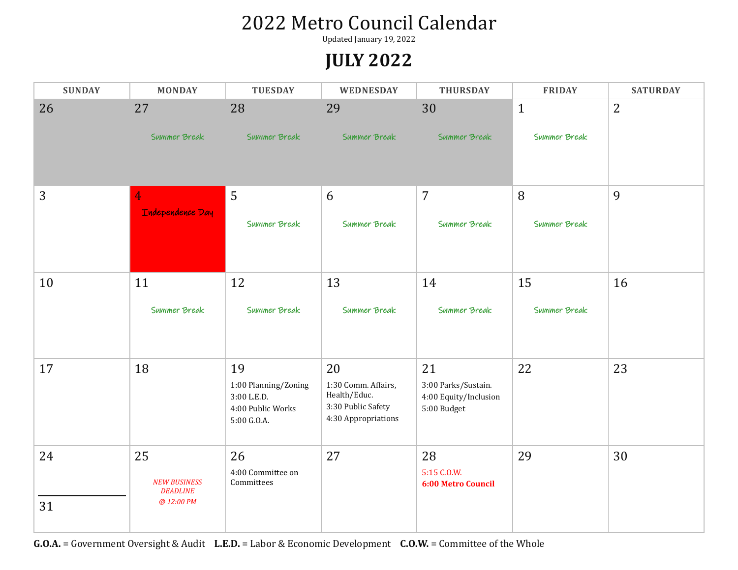Updated January 19, 2022

#### **JULY 2022**

| <b>SUNDAY</b> | <b>MONDAY</b>                                              | <b>TUESDAY</b>                                                                | WEDNESDAY                                                                              | <b>THURSDAY</b>                                                   | <b>FRIDAY</b> | <b>SATURDAY</b> |
|---------------|------------------------------------------------------------|-------------------------------------------------------------------------------|----------------------------------------------------------------------------------------|-------------------------------------------------------------------|---------------|-----------------|
| 26            | 27                                                         | 28                                                                            | 29                                                                                     | 30                                                                | $\mathbf{1}$  | 2               |
|               | Summer Break                                               | Summer Break                                                                  | Summer Break                                                                           | Summer Break                                                      | Summer Break  |                 |
| 3             | 4                                                          | 5                                                                             | 6                                                                                      | $\overline{7}$                                                    | 8             | 9               |
|               | Independence Day                                           | Summer Break                                                                  | Summer Break                                                                           | Summer Break                                                      | Summer Break  |                 |
| 10            | 11                                                         | 12                                                                            | 13                                                                                     | 14                                                                | 15            | 16              |
|               | Summer Break                                               | Summer Break                                                                  | Summer Break                                                                           | Summer Break                                                      | Summer Break  |                 |
| 17            | 18                                                         | 19<br>1:00 Planning/Zoning<br>3:00 L.E.D.<br>4:00 Public Works<br>5:00 G.O.A. | 20<br>1:30 Comm. Affairs,<br>Health/Educ.<br>3:30 Public Safety<br>4:30 Appropriations | 21<br>3:00 Parks/Sustain.<br>4:00 Equity/Inclusion<br>5:00 Budget | 22            | 23              |
| 24            | 25<br><b>NEW BUSINESS</b><br><b>DEADLINE</b><br>@ 12:00 PM | 26<br>4:00 Committee on<br>Committees                                         | 27                                                                                     | 28<br>5:15 C.O.W.<br><b>6:00 Metro Council</b>                    | 29            | 30              |
| 31            |                                                            |                                                                               |                                                                                        |                                                                   |               |                 |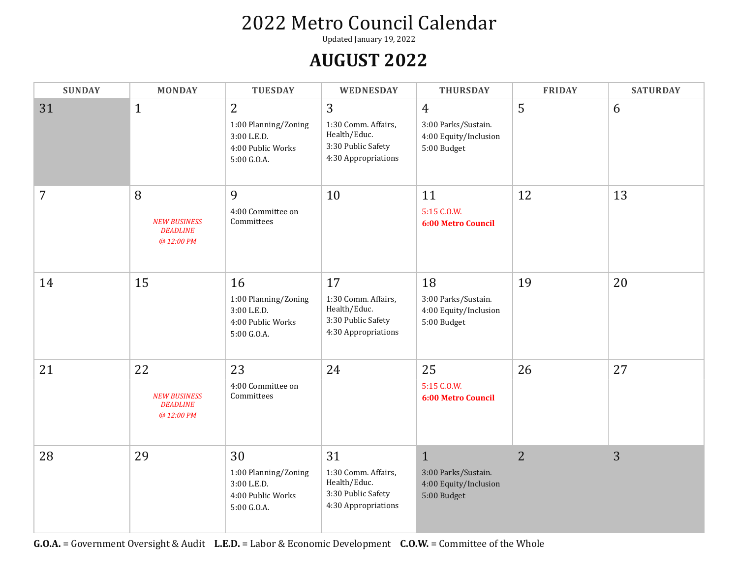Updated January 19, 2022

#### **AUGUST 2022**

| <b>SUNDAY</b> | <b>MONDAY</b>                                              | <b>TUESDAY</b>                                                                | WEDNESDAY                                                                              | <b>THURSDAY</b>                                                               | <b>FRIDAY</b>  | <b>SATURDAY</b> |
|---------------|------------------------------------------------------------|-------------------------------------------------------------------------------|----------------------------------------------------------------------------------------|-------------------------------------------------------------------------------|----------------|-----------------|
| 31            | $\mathbf{1}$                                               | 2<br>1:00 Planning/Zoning<br>3:00 L.E.D.<br>4:00 Public Works<br>5:00 G.O.A.  | 3<br>1:30 Comm. Affairs,<br>Health/Educ.<br>3:30 Public Safety<br>4:30 Appropriations  | $\overline{4}$<br>3:00 Parks/Sustain.<br>4:00 Equity/Inclusion<br>5:00 Budget | 5              | 6               |
| 7             | 8<br><b>NEW BUSINESS</b><br><b>DEADLINE</b><br>@ 12:00 PM  | 9<br>4:00 Committee on<br>Committees                                          | 10                                                                                     | 11<br>5:15 C.O.W.<br><b>6:00 Metro Council</b>                                | 12             | 13              |
| 14            | 15                                                         | 16<br>1:00 Planning/Zoning<br>3:00 L.E.D.<br>4:00 Public Works<br>5:00 G.O.A. | 17<br>1:30 Comm. Affairs,<br>Health/Educ.<br>3:30 Public Safety<br>4:30 Appropriations | 18<br>3:00 Parks/Sustain.<br>4:00 Equity/Inclusion<br>5:00 Budget             | 19             | 20              |
| 21            | 22<br><b>NEW BUSINESS</b><br><b>DEADLINE</b><br>@ 12:00 PM | 23<br>4:00 Committee on<br>Committees                                         | 24                                                                                     | 25<br>5:15 C.O.W.<br><b>6:00 Metro Council</b>                                | 26             | 27              |
| 28            | 29                                                         | 30<br>1:00 Planning/Zoning<br>3:00 L.E.D.<br>4:00 Public Works<br>5:00 G.O.A. | 31<br>1:30 Comm. Affairs,<br>Health/Educ.<br>3:30 Public Safety<br>4:30 Appropriations | $\mathbf{1}$<br>3:00 Parks/Sustain.<br>4:00 Equity/Inclusion<br>5:00 Budget   | $\overline{2}$ | 3               |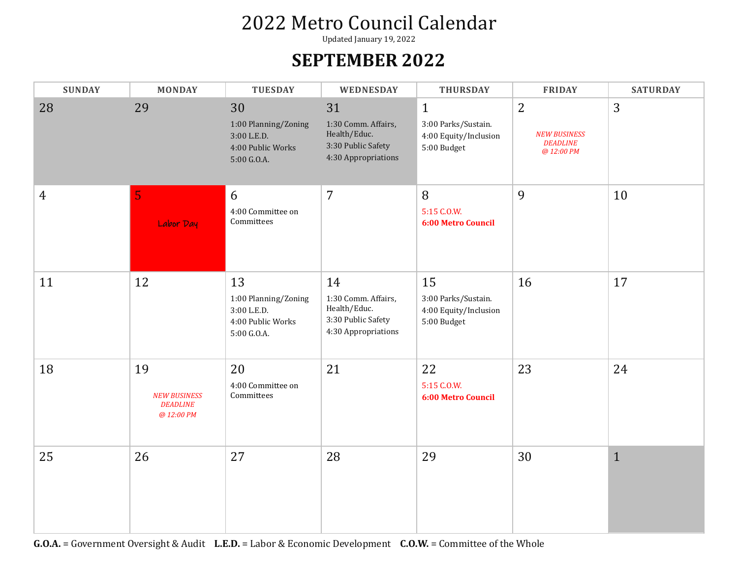Updated January 19, 2022

#### **SEPTEMBER 2022**

| <b>SUNDAY</b>  | <b>MONDAY</b>                                              | <b>TUESDAY</b>                                                                | WEDNESDAY                                                                              | <b>THURSDAY</b>                                                             | <b>FRIDAY</b>                                                          | <b>SATURDAY</b> |
|----------------|------------------------------------------------------------|-------------------------------------------------------------------------------|----------------------------------------------------------------------------------------|-----------------------------------------------------------------------------|------------------------------------------------------------------------|-----------------|
| 28             | 29                                                         | 30<br>1:00 Planning/Zoning<br>3:00 L.E.D.<br>4:00 Public Works<br>5:00 G.O.A. | 31<br>1:30 Comm. Affairs,<br>Health/Educ.<br>3:30 Public Safety<br>4:30 Appropriations | $\mathbf{1}$<br>3:00 Parks/Sustain.<br>4:00 Equity/Inclusion<br>5:00 Budget | $\overline{2}$<br><b>NEW BUSINESS</b><br><b>DEADLINE</b><br>@ 12:00 PM | 3               |
| $\overline{4}$ | 5<br>Labor Day                                             | 6<br>4:00 Committee on<br>Committees                                          | $\overline{7}$                                                                         | 8<br>5:15 C.O.W.<br><b>6:00 Metro Council</b>                               | 9                                                                      | 10              |
| 11             | 12                                                         | 13<br>1:00 Planning/Zoning<br>3:00 L.E.D.<br>4:00 Public Works<br>5:00 G.O.A. | 14<br>1:30 Comm. Affairs,<br>Health/Educ.<br>3:30 Public Safety<br>4:30 Appropriations | 15<br>3:00 Parks/Sustain.<br>4:00 Equity/Inclusion<br>5:00 Budget           | 16                                                                     | 17              |
| 18             | 19<br><b>NEW BUSINESS</b><br><b>DEADLINE</b><br>@ 12:00 PM | 20<br>4:00 Committee on<br>Committees                                         | 21                                                                                     | 22<br>5:15 C.O.W.<br><b>6:00 Metro Council</b>                              | 23                                                                     | 24              |
| 25             | 26                                                         | 27                                                                            | 28                                                                                     | 29                                                                          | 30                                                                     | $\mathbf{1}$    |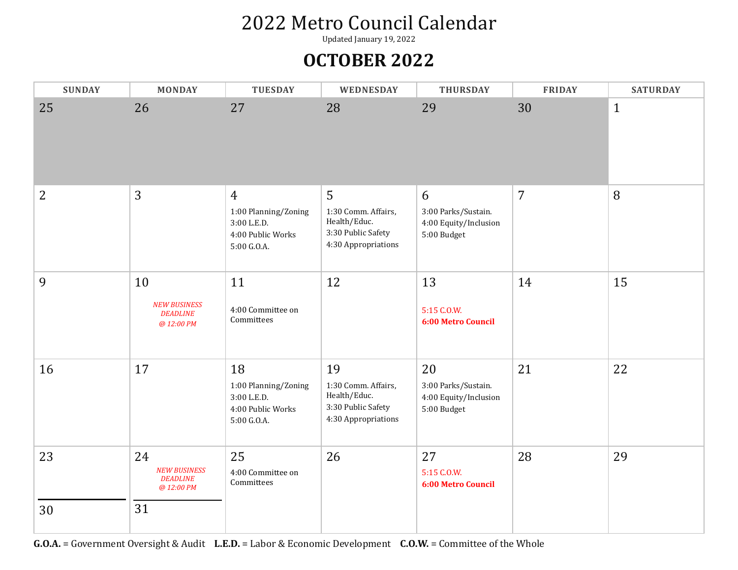Updated January 19, 2022

#### **OCTOBER 2022**

| <b>SUNDAY</b> | <b>MONDAY</b>                                              | <b>TUESDAY</b>                                                                            | WEDNESDAY                                                                              | <b>THURSDAY</b>                                                   | <b>FRIDAY</b>  | <b>SATURDAY</b> |
|---------------|------------------------------------------------------------|-------------------------------------------------------------------------------------------|----------------------------------------------------------------------------------------|-------------------------------------------------------------------|----------------|-----------------|
| 25            | 26                                                         | 27                                                                                        | 28                                                                                     | 29                                                                | 30             | $\mathbf{1}$    |
| 2             | 3                                                          | $\overline{4}$<br>1:00 Planning/Zoning<br>3:00 L.E.D.<br>4:00 Public Works<br>5:00 G.O.A. | 5<br>1:30 Comm. Affairs,<br>Health/Educ.<br>3:30 Public Safety<br>4:30 Appropriations  | 6<br>3:00 Parks/Sustain.<br>4:00 Equity/Inclusion<br>5:00 Budget  | $\overline{7}$ | 8               |
| 9             | 10<br><b>NEW BUSINESS</b><br><b>DEADLINE</b><br>@ 12:00 PM | 11<br>4:00 Committee on<br>Committees                                                     | 12                                                                                     | 13<br>5:15 C.O.W.<br><b>6:00 Metro Council</b>                    | 14             | 15              |
| 16            | 17                                                         | 18<br>1:00 Planning/Zoning<br>3:00 L.E.D.<br>4:00 Public Works<br>5:00 G.O.A.             | 19<br>1:30 Comm. Affairs,<br>Health/Educ.<br>3:30 Public Safety<br>4:30 Appropriations | 20<br>3:00 Parks/Sustain.<br>4:00 Equity/Inclusion<br>5:00 Budget | 21             | 22              |
| 23            | 24<br><b>NEW BUSINESS</b><br><b>DEADLINE</b><br>@ 12:00 PM | 25<br>4:00 Committee on<br>Committees                                                     | 26                                                                                     | 27<br>5:15 C.O.W.<br><b>6:00 Metro Council</b>                    | 28             | 29              |
| 30            | 31                                                         |                                                                                           |                                                                                        |                                                                   |                |                 |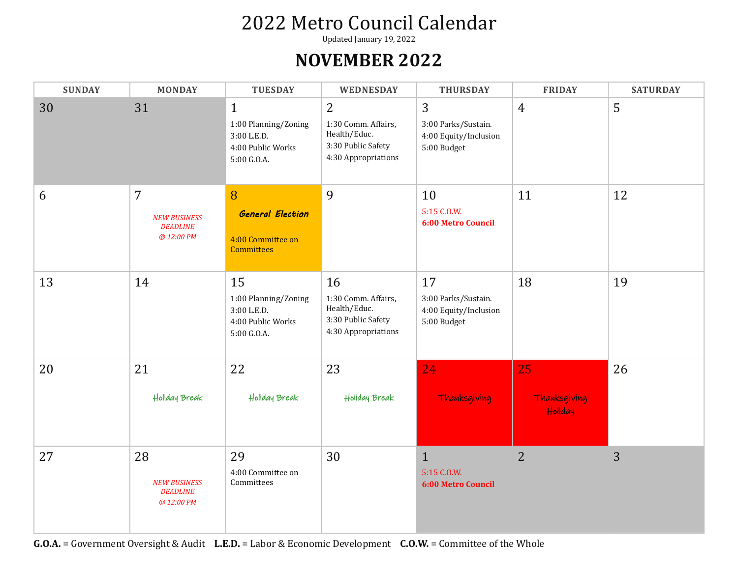Updated January 19, 2022

#### **NOVEMBER 2022**

| <b>SUNDAY</b> | <b>MONDAY</b>                                                          | <b>TUESDAY</b>                                                                          | WEDNESDAY                                                                                          | <b>THURSDAY</b>                                                   | <b>FRIDAY</b>                 | <b>SATURDAY</b> |
|---------------|------------------------------------------------------------------------|-----------------------------------------------------------------------------------------|----------------------------------------------------------------------------------------------------|-------------------------------------------------------------------|-------------------------------|-----------------|
| 30            | 31                                                                     | $\mathbf{1}$<br>1:00 Planning/Zoning<br>3:00 L.E.D.<br>4:00 Public Works<br>5:00 G.O.A. | $\overline{2}$<br>1:30 Comm. Affairs,<br>Health/Educ.<br>3:30 Public Safety<br>4:30 Appropriations | 3<br>3:00 Parks/Sustain.<br>4:00 Equity/Inclusion<br>5:00 Budget  | $\overline{4}$                | 5               |
| 6             | $\overline{7}$<br><b>NEW BUSINESS</b><br><b>DEADLINE</b><br>@ 12:00 PM | 8<br><b>General Election</b><br>4:00 Committee on<br><b>Committees</b>                  | 9                                                                                                  | 10<br>5:15 C.O.W.<br><b>6:00 Metro Council</b>                    | 11                            | 12              |
| 13            | 14                                                                     | 15<br>1:00 Planning/Zoning<br>3:00 L.E.D.<br>4:00 Public Works<br>5:00 G.O.A.           | 16<br>1:30 Comm. Affairs,<br>Health/Educ.<br>3:30 Public Safety<br>4:30 Appropriations             | 17<br>3:00 Parks/Sustain.<br>4:00 Equity/Inclusion<br>5:00 Budget | 18                            | 19              |
| 20            | 21<br>Holiday Break                                                    | 22<br>Holiday Break                                                                     | 23<br>Holiday Break                                                                                | 24<br>Thanksgiving                                                | 25<br>Thanksgiving<br>Holiday | 26              |
| 27            | 28<br><b>NEW BUSINESS</b><br><b>DEADLINE</b><br>@ 12:00 PM             | 29<br>4:00 Committee on<br>Committees                                                   | 30                                                                                                 | $\mathbf{1}$<br>5:15 C.O.W.<br>6:00 Metro Council                 | $\overline{2}$                | 3               |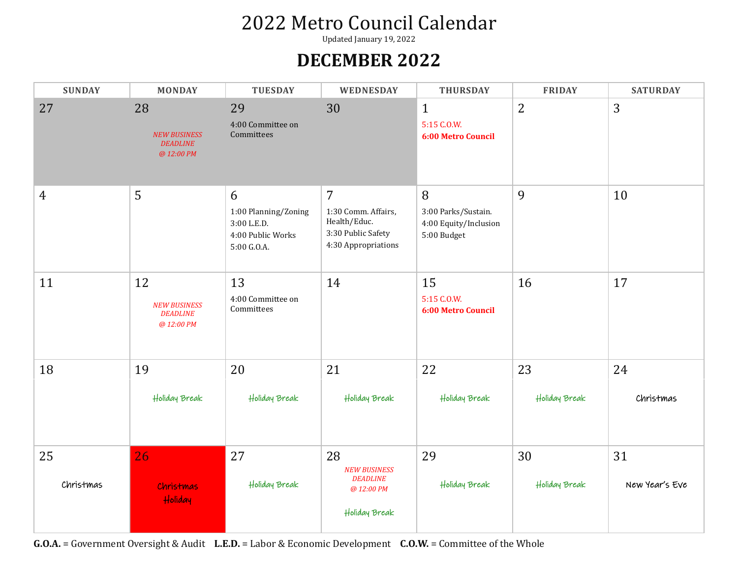Updated January 19, 2022

#### **DECEMBER 2022**

| <b>SUNDAY</b>   | <b>MONDAY</b>                                              | <b>TUESDAY</b>                                                               | WEDNESDAY                                                                                          | <b>THURSDAY</b>                                                  | <b>FRIDAY</b>       | <b>SATURDAY</b>      |
|-----------------|------------------------------------------------------------|------------------------------------------------------------------------------|----------------------------------------------------------------------------------------------------|------------------------------------------------------------------|---------------------|----------------------|
| 27              | 28<br><b>NEW BUSINESS</b><br><b>DEADLINE</b><br>@ 12:00 PM | 29<br>4:00 Committee on<br>Committees                                        | 30                                                                                                 | $\mathbf{1}$<br>5:15 C.O.W.<br><b>6:00 Metro Council</b>         | $\overline{2}$      | 3                    |
| 4               | 5                                                          | 6<br>1:00 Planning/Zoning<br>3:00 L.E.D.<br>4:00 Public Works<br>5:00 G.O.A. | $\overline{7}$<br>1:30 Comm. Affairs,<br>Health/Educ.<br>3:30 Public Safety<br>4:30 Appropriations | 8<br>3:00 Parks/Sustain.<br>4:00 Equity/Inclusion<br>5:00 Budget | 9                   | 10                   |
| 11              | 12<br><b>NEW BUSINESS</b><br><b>DEADLINE</b><br>@ 12:00 PM | 13<br>4:00 Committee on<br>Committees                                        | 14                                                                                                 | 15<br>5:15 C.O.W.<br><b>6:00 Metro Council</b>                   | 16                  | 17                   |
| 18              | 19<br>Holiday Break                                        | 20<br>Holiday Break                                                          | 21<br>Holiday Break                                                                                | 22<br>Holiday Break                                              | 23<br>Holiday Break | 24<br>Christmas      |
| 25<br>Christmas | 26<br><b>Christmas</b><br>Holiday                          | 27<br>Holiday Break                                                          | 28<br><b>NEW BUSINESS</b><br><b>DEADLINE</b><br>@ 12:00 PM<br>Holiday Break                        | 29<br>Holiday Break                                              | 30<br>Holiday Break | 31<br>New Year's Eve |